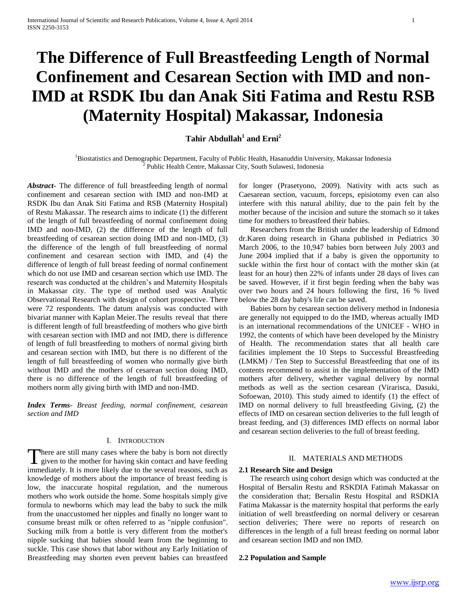# **The Difference of Full Breastfeeding Length of Normal Confinement and Cesarean Section with IMD and non-IMD at RSDK Ibu dan Anak Siti Fatima and Restu RSB (Maternity Hospital) Makassar, Indonesia**

# **Tahir Abdullah<sup>1</sup> and Erni<sup>2</sup>**

<sup>1</sup>Biostatistics and Demographic Department, Faculty of Public Health, Hasanuddin University, Makassar Indonesia <sup>2</sup> Public Health Centre, Makassar City, South Sulawesi, Indonesia

*Abstract***-** The difference of full breastfeeding length of normal confinement and cesarean section with IMD and non-IMD at RSDK Ibu dan Anak Siti Fatima and RSB (Maternity Hospital) of Restu Makassar. The research aims to indicate (1) the different of the length of full breastfeeding of normal confinement doing IMD and non-IMD, (2) the difference of the length of full breastfeeding of cesarean section doing IMD and non-IMD, (3) the difference of the length of full breastfeeding of normal confinement and cesarean section with IMD, and (4) the difference of length of full breast feeding of normal confinement which do not use IMD and cesarean section which use IMD. The research was conducted at the children's and Maternity Hospitals in Makassar city. The type of method used was Analytic Observational Research with design of cohort prospective. There were 72 respondents. The datum analysis was conducted with bivariat manner with Kaplan Meier.The results reveal that there is different length of full breastfeeding of mothers who give birth with cesarean section with IMD and not IMD, there is difference of length of full breastfeeding to mothers of normal giving birth and cesarean section with IMD, but there is no different of the length of full breastfeeding of women who normally give birth without IMD and the mothers of cesarean section doing IMD, there is no difference of the length of full breastfeeding of mothers norm ally giving birth with IMD and non-IMD.

*Index Terms*- *Breast feeding, normal confinement, cesarean section and IMD*

## I. INTRODUCTION

here are still many cases where the baby is born not directly There are still many cases where the baby is born not directly<br>given to the mother for having skin contact and have feeding immediately. It is more likely due to the several reasons, such as knowledge of mothers about the importance of breast feeding is low, the inaccurate hospital regulation, and the numerous mothers who work outside the home. Some hospitals simply give formula to newborns which may lead the baby to suck the milk from the unaccustomed her nipples and finally no longer want to consume breast milk or often referred to as "nipple confusion". Sucking milk from a bottle is very different from the mother's nipple sucking that babies should learn from the beginning to suckle. This case shows that labor without any Early Initiation of Breastfeeding may shorten even prevent babies can breastfeed

for longer (Prasetyono, 2009). Nativity with acts such as Caesarean section, vacuum, forceps, episiotomy even can also interfere with this natural ability, due to the pain felt by the mother because of the incision and suture the stomach so it takes time for mothers to breastfeed their babies.

 Researchers from the British under the leadership of Edmond dr.Karen doing research in Ghana published in Pediatrics 30 March 2006, to the 10,947 babies born between July 2003 and June 2004 implied that if a baby is given the opportunity to suckle within the first hour of contact with the mother skin (at least for an hour) then 22% of infants under 28 days of lives can be saved. However, if it first begin feeding when the baby was over two hours and 24 hours following the first, 16 % lived below the 28 day baby's life can be saved.

 Babies born by cesarean section delivery method in Indonesia are generally not equipped to do the IMD, whereas actually IMD is an international recommendations of the UNICEF - WHO in 1992, the contents of which have been developed by the Ministry of Health. The recommendation states that all health care facilities implement the 10 Steps to Successful Breastfeeding (LMKM) / Ten Step to Successful Breastfeeding that one of its contents recommend to assist in the implementation of the IMD mothers after delivery, whether vaginal delivery by normal methods as well as the section cesarean (Virarisca, Dasuki, Sofoewan, 2010). This study aimed to identify (1) the effect of IMD on normal delivery to full breastfeeding Giving, (2) the effects of IMD on cesarean section deliveries to the full length of breast feeding, and (3) differences IMD effects on normal labor and cesarean section deliveries to the full of breast feeding.

# II. MATERIALS AND METHODS

#### **2.1 Research Site and Design**

 The research using cohort design which was conducted at the Hospital of Bersalin Restu and RSKDIA Fatimah Makassar on the consideration that; Bersalin Restu Hospital and RSDKIA Fatima Makassar is the maternity hospital that performs the early initiation of well breastfeeding on normal delivery or cesarean section deliveries; There were no reports of research on differences in the length of a full breast feeding on normal labor and cesarean section IMD and non IMD.

#### **2.2 Population and Sample**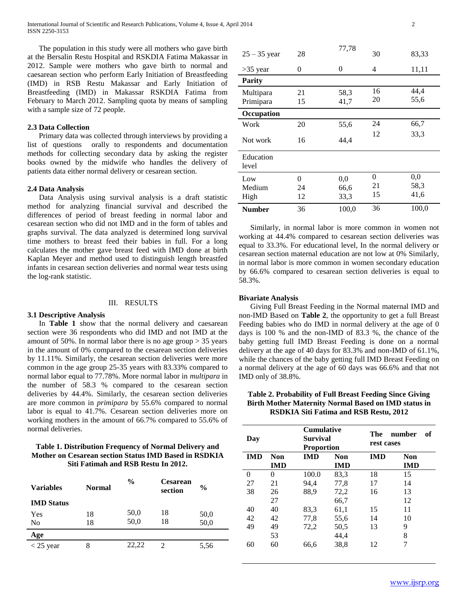International Journal of Scientific and Research Publications, Volume 4, Issue 4, April 2014 2 ISSN 2250-3153

 The population in this study were all mothers who gave birth at the Bersalin Restu Hospital and RSKDIA Fatima Makassar in 2012. Sample were mothers who gave birth to normal and caesarean section who perform Early Initiation of Breastfeeding (IMD) in RSB Restu Makassar and Early Initiation of Breastfeeding (IMD) in Makassar RSKDIA Fatima from February to March 2012. Sampling quota by means of sampling with a sample size of 72 people.

## **2.3 Data Collection**

 Primary data was collected through interviews by providing a list of questions orally to respondents and documentation methods for collecting secondary data by asking the register books owned by the midwife who handles the delivery of patients data either normal delivery or cesarean section.

## **2.4 Data Analysis**

 Data Analysis using survival analysis is a draft statistic method for analyzing financial survival and described the differences of period of breast feeding in normal labor and cesarean section who did not IMD and in the form of tables and graphs survival. The data analyzed is determined long survival time mothers to breast feed their babies in full. For a long calculates the mother gave breast feed with IMD done at birth Kaplan Meyer and method used to distinguish length breastfed infants in cesarean section deliveries and normal wear tests using the log-rank statistic.

#### III. RESULTS

#### **3.1 Descriptive Analysis**

 In **Table 1** show that the normal delivery and caesarean section were 36 respondents who did IMD and not IMD at the amount of 50%. In normal labor there is no age group  $> 35$  years in the amount of 0% compared to the cesarean section deliveries by 11.11%. Similarly, the cesarean section deliveries were more common in the age group 25-35 years with 83.33% compared to normal labor equal to 77.78%. More normal labor in *multipara* in the number of 58.3 % compared to the cesarean section deliveries by 44.4%. Similarly, the cesarean section deliveries are more common in *primipara* by 55.6% compared to normal labor is equal to 41.7%. Cesarean section deliveries more on working mothers in the amount of 66.7% compared to 55.6% of normal deliveries.

# **Table 1. Distribution Frequency of Normal Delivery and Mother on Cesarean section Status IMD Based in RSDKIA Siti Fatimah and RSB Restu In 2012.**

| <b>Variables</b>  | <b>Normal</b> | $\frac{0}{0}$<br><b>Cesarean</b><br>section |    | $\frac{0}{0}$ |
|-------------------|---------------|---------------------------------------------|----|---------------|
| <b>IMD</b> Status |               |                                             |    |               |
| Yes               | 18            | 50,0                                        | 18 | 50,0          |
| No                | 18            | 50,0                                        | 18 | 50,0          |
| Age               |               |                                             |    |               |
| $<$ 25 year       | 8             | 22.22                                       |    | 5.56          |

| $25 - 35$ year         | 28                   | 77,78               | 30            | 83,33               |
|------------------------|----------------------|---------------------|---------------|---------------------|
| $>35$ year             | 0                    | 0                   | 4             | 11,11               |
| <b>Parity</b>          |                      |                     |               |                     |
| Multipara<br>Primipara | 21<br>15             | 58,3<br>41,7        | 16<br>20      | 44,4<br>55,6        |
| Occupation             |                      |                     |               |                     |
| Work                   | 20                   | 55,6                | 24            | 66,7                |
| Not work               | 16                   | 44,4                | 12            | 33,3                |
| Education<br>level     |                      |                     |               |                     |
| Low<br>Medium<br>High  | $\theta$<br>24<br>12 | 0,0<br>66,6<br>33,3 | 0<br>21<br>15 | 0,0<br>58,3<br>41,6 |
| <b>Number</b>          | 36                   | 100,0               | 36            | 100,0               |

 Similarly, in normal labor is more common in women not working at 44.4% compared to cesarean section deliveries was equal to 33.3%. For educational level, In the normal delivery or cesarean section maternal education are not low at 0% Similarly, in normal labor is more common in women secondary education by 66.6% compared to cesarean section deliveries is equal to 58.3%.

#### **Bivariate Analysis**

 Giving Full Breast Feeding in the Normal maternal IMD and non-IMD Based on **Table 2**, the opportunity to get a full Breast Feeding babies who do IMD in normal delivery at the age of 0 days is 100 % and the non-IMD of 83.3 %, the chance of the baby getting full IMD Breast Feeding is done on a normal delivery at the age of 40 days for 83.3% and non-IMD of 61.1%, while the chances of the baby getting full IMD Breast Feeding on a normal delivery at the age of 60 days was 66.6% and that not IMD only of 38.8%.

## **Table 2. Probability of Full Breast Feeding Since Giving Birth Mother Maternity Normal Based on IMD status in RSDKIA Siti Fatima and RSB Restu, 2012**

| Day        |            | <b>Cumulative</b><br><b>Survival</b><br><b>Proportion</b> |            | The<br>rest cases | number<br>оf |
|------------|------------|-----------------------------------------------------------|------------|-------------------|--------------|
| <b>IMD</b> | Non        | <b>IMD</b>                                                | <b>Non</b> | <b>IMD</b>        | <b>Non</b>   |
|            | <b>IMD</b> |                                                           | <b>IMD</b> |                   | <b>IMD</b>   |
| $\theta$   | 0          | 100.0                                                     | 83,3       | 18                | 15           |
| 27         | 21         | 94,4                                                      | 77,8       | 17                | 14           |
| 38         | 26         | 88,9                                                      | 72,2       | 16                | 13           |
|            | 27         |                                                           | 66,7       |                   | 12           |
| 40         | 40         | 83.3                                                      | 61,1       | 15                | 11           |
| 42         | 42         | 77,8                                                      | 55,6       | 14                | 10           |
| 49         | 49         | 72,2                                                      | 50,5       | 13                | 9            |
|            | 53         |                                                           | 44,4       |                   | 8            |
| 60         | 60         | 66,6                                                      | 38,8       | 12                | 7            |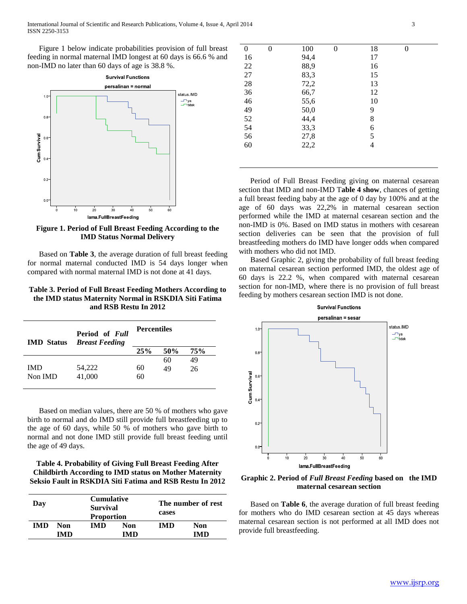Figure 1 below indicate probabilities provision of full breast feeding in normal maternal IMD longest at 60 days is 66.6 % and non-IMD no later than 60 days of age is 38.8 %.



**Figure 1. Period of Full Breast Feeding According to the IMD Status Normal Delivery**

 Based on **Table 3**, the average duration of full breast feeding for normal maternal conducted IMD is 54 days longer when compared with normal maternal IMD is not done at 41 days.

## **Table 3. Period of Full Breast Feeding Mothers According to the IMD status Maternity Normal in RSKDIA Siti Fatima and RSB Restu In 2012**

| <b>IMD</b> Status | Period of Full<br><b>Breast Feeding</b> | <b>Percentiles</b> |     |     |  |
|-------------------|-----------------------------------------|--------------------|-----|-----|--|
|                   |                                         | 25%                | 50% | 75% |  |
|                   |                                         |                    | 60  | 49  |  |
| IMD               | 54,222                                  | 60                 | 49  | 26  |  |
| Non IMD           | 41,000                                  | 60                 |     |     |  |

 Based on median values, there are 50 % of mothers who gave birth to normal and do IMD still provide full breastfeeding up to the age of 60 days, while 50 % of mothers who gave birth to normal and not done IMD still provide full breast feeding until the age of 49 days.

# **Table 4. Probability of Giving Full Breast Feeding After Childbirth According to IMD status on Mother Maternity Seksio Fault in RSKDIA Siti Fatima and RSB Restu In 2012**

| Day |            |            | <b>Cumulative</b><br><b>Survival</b><br><b>Proportion</b> |      | The number of rest<br>cases |  |
|-----|------------|------------|-----------------------------------------------------------|------|-----------------------------|--|
| IMD | Non        | <b>IMD</b> | Non                                                       | IMD. | Non                         |  |
|     | <b>IMD</b> |            | IMD                                                       |      | IMD                         |  |

| $\theta$ | 0 | 100  | 0 | 18 | $\theta$ |  |
|----------|---|------|---|----|----------|--|
| 16       |   | 94,4 |   | 17 |          |  |
| 22       |   | 88,9 |   | 16 |          |  |
| 27       |   | 83,3 |   | 15 |          |  |
| 28       |   | 72,2 |   | 13 |          |  |
| 36       |   | 66,7 |   | 12 |          |  |
| 46       |   | 55,6 |   | 10 |          |  |
| 49       |   | 50,0 |   | 9  |          |  |
| 52       |   | 44,4 |   | 8  |          |  |
| 54       |   | 33,3 |   | 6  |          |  |
| 56       |   | 27,8 |   | 5  |          |  |
| 60       |   | 22,2 |   | 4  |          |  |
|          |   |      |   |    |          |  |

 Period of Full Breast Feeding giving on maternal cesarean section that IMD and non-IMD T**able 4 show**, chances of getting a full breast feeding baby at the age of 0 day by 100% and at the age of 60 days was 22,2% in maternal cesarean section performed while the IMD at maternal cesarean section and the non-IMD is 0%. Based on IMD status in mothers with cesarean section deliveries can be seen that the provision of full breastfeeding mothers do IMD have longer odds when compared with mothers who did not IMD.

 Based Graphic 2, giving the probability of full breast feeding on maternal cesarean section performed IMD, the oldest age of 60 days is 22.2 %, when compared with maternal cesarean section for non-IMD, where there is no provision of full breast feeding by mothers cesarean section IMD is not done.



**Graphic 2. Period of** *Full Breast Feeding* **based on the IMD maternal cesarean section**

 Based on **Table 6**, the average duration of full breast feeding for mothers who do IMD cesarean section at 45 days whereas maternal cesarean section is not performed at all IMD does not provide full breastfeeding.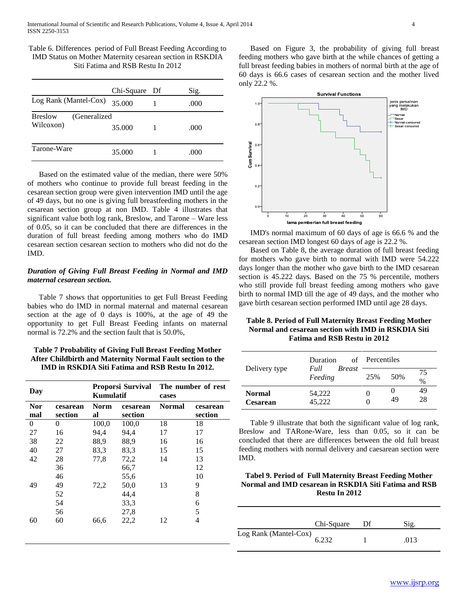Table 6. Differences period of Full Breast Feeding According to IMD Status on Mother Maternity cesarean section in RSKDIA Siti Fatima and RSB Restu In 2012

|                                             | Chi-Square | Df | Sig.  |
|---------------------------------------------|------------|----|-------|
| Log Rank (Mantel-Cox)                       | 35.000     |    | (000) |
| <b>Breslow</b><br>(Generalized<br>Wilcoxon) | 35,000     |    | .000  |
| Tarone-Ware                                 | 35.000     |    | .000  |

 Based on the estimated value of the median, there were 50% of mothers who continue to provide full breast feeding in the cesarean section group were given intervention IMD until the age of 49 days, but no one is giving full breastfeeding mothers in the cesarean section group at non IMD. Table 4 illustrates that significant value both log rank, Breslow, and Tarone – Ware less of 0.05, so it can be concluded that there are differences in the duration of full breast feeding among mothers who do IMD cesarean section cesarean section to mothers who did not do the IMD.

# *Duration of Giving Full Breast Feeding in Normal and IMD maternal cesarean section.*

 Table 7 shows that opportunities to get Full Breast Feeding babies who do IMD in normal maternal and maternal cesarean section at the age of 0 days is 100%, at the age of 49 the opportunity to get Full Breast Feeding infants on maternal normal is 72.2% and the section fault that is 50.0%,

# **Table 7 Probability of Giving Full Breast Feeding Mother After Childbirth and Maternity Normal Fault section to the IMD in RSKDIA Siti Fatima and RSB Restu In 2012.**

| Day        |          | Proporsi Survival The number of rest<br>Kumulatif |          | cases         |          |
|------------|----------|---------------------------------------------------|----------|---------------|----------|
| <b>Nor</b> | cesarean | Norm                                              | cesarean | <b>Normal</b> | cesarean |
| mal        | section  | al                                                | section  |               | section  |
| $\theta$   | 0        | 100,0                                             | 100,0    | 18            | 18       |
| 27         | 16       | 94,4                                              | 94,4     | 17            | 17       |
| 38         | 22       | 88,9                                              | 88,9     | 16            | 16       |
| 40         | 27       | 83.3                                              | 83.3     | 15            | 15       |
| 42         | 28       | 77,8                                              | 72,2     | 14            | 13       |
|            | 36       |                                                   | 66,7     |               | 12       |
|            | 46       |                                                   | 55,6     |               | 10       |
| 49         | 49       | 72,2                                              | 50,0     | 13            | 9        |
|            | 52       |                                                   | 44,4     |               | 8        |
|            | 54       |                                                   | 33,3     |               | 6        |
|            | 56       |                                                   | 27,8     |               | 5        |
| 60         | 60       | 66,6                                              | 22,2     | 12            | 4        |
|            |          |                                                   |          |               |          |

 Based on Figure 3, the probability of giving full breast feeding mothers who gave birth at the while chances of getting a full breast feeding babies in mothers of normal birth at the age of 60 days is 66.6 cases of cesarean section and the mother lived only 22.2 %.



 IMD's normal maximum of 60 days of age is 66.6 % and the cesarean section IMD longest 60 days of age is 22.2 %.

 Based on Table 8, the average duration of full breast feeding for mothers who gave birth to normal with IMD were 54.222 days longer than the mother who gave birth to the IMD cesarean section is 45.222 days. Based on the 75 % percentile, mothers who still provide full breast feeding among mothers who gave birth to normal IMD till the age of 49 days, and the mother who gave birth cesarean section performed IMD until age 28 days.

# **Table 8. Period of Full Maternity Breast Feeding Mother Normal and cesarean section with IMD in RSKDIA Siti Fatima and RSB Restu in 2012**

|                                  | <b>Duration</b><br>Full  | of Percentiles |     |            |
|----------------------------------|--------------------------|----------------|-----|------------|
| Delivery type                    | <i>Breast</i><br>Feeding | 25%            | 50% | 75<br>$\%$ |
| <b>Normal</b><br><b>Cesarean</b> | 54,222<br>45.222         |                | 49  | 49<br>28   |

 Table 9 illustrate that both the significant value of log rank, Breslow and TARone-Ware, less than 0.05, so it can be concluded that there are differences between the old full breast feeding mothers with normal delivery and caesarean section were IMD.

# **Tabel 9. Period of Full Maternity Breast Feeding Mother Normal and IMD cesarean in RSKDIA Siti Fatima and RSB Restu In 2012**

|                       | Chi-Square | Df | $Si2$ . |
|-----------------------|------------|----|---------|
| Log Rank (Mantel-Cox) | 6.232      |    | .013    |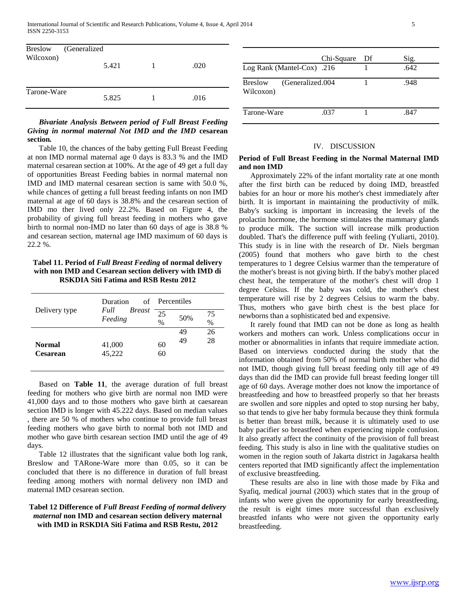| Breslow<br>Wilcoxon) | (Generalized)<br>5.421 | .020 |  |
|----------------------|------------------------|------|--|
| Tarone-Ware          | 5.825                  | .016 |  |

 *Bivariate Analysis Between period of Full Breast Feeding Giving in normal maternal Not IMD and the IMD* **cesarean section***.*

 Table 10, the chances of the baby getting Full Breast Feeding at non IMD normal maternal age 0 days is 83.3 % and the IMD maternal cesarean section at 100%. At the age of 49 get a full day of opportunities Breast Feeding babies in normal maternal non IMD and IMD maternal cesarean section is same with 50.0 %, while chances of getting a full breast feeding infants on non IMD maternal at age of 60 days is 38.8% and the cesarean section of IMD mo ther lived only 22.2%. Based on Figure 4, the probability of giving full breast feeding in mothers who gave birth to normal non-IMD no later than 60 days of age is 38.8 % and cesarean section, maternal age IMD maximum of 60 days is 22.2 %.

**Tabel 11. Period of** *Full Breast Feeding* **of normal delivery with non IMD and Cesarean section delivery with IMD di RSKDIA Siti Fatima and RSB Restu 2012**

| Delivery type                    | <b>Duration</b>                  | of Percentiles |     |            |
|----------------------------------|----------------------------------|----------------|-----|------------|
|                                  | Full<br><b>Breast</b><br>Feeding | 25<br>$\%$     | 50% | 75<br>$\%$ |
|                                  |                                  |                | 49  | 26         |
| <b>Normal</b><br><b>Cesarean</b> | 41,000<br>45,222                 | 60<br>60       | 49  | 28         |

 Based on **Table 11**, the average duration of full breast feeding for mothers who give birth are normal non IMD were 41,000 days and to those mothers who gave birth at caesarean section IMD is longer with 45.222 days. Based on median values , there are 50 % of mothers who continue to provide full breast feeding mothers who gave birth to normal both not IMD and mother who gave birth cesarean section IMD until the age of 49 days.

 Table 12 illustrates that the significant value both log rank, Breslow and TARone-Ware more than 0.05, so it can be concluded that there is no difference in duration of full breast feeding among mothers with normal delivery non IMD and maternal IMD cesarean section.

## **Tabel 12 Difference of** *Full Breast Feeding of normal delivery maternal* **non IMD and cesarean section delivery maternal with IMD in RSKDIA Siti Fatima and RSB Restu, 2012**

#### IV. DISCUSSION

## **Period of Full Breast Feeding in the Normal Maternal IMD and non IMD**

 Approximately 22% of the infant mortality rate at one month after the first birth can be reduced by doing IMD, breastfed babies for an hour or more his mother's chest immediately after birth. It is important in maintaining the productivity of milk. Baby's sucking is important in increasing the levels of the prolactin hormone, the hormone stimulates the mammary glands to produce milk. The suction will increase milk production doubled. That's the difference puff with feeling (Yuliarti, 2010). This study is in line with the research of Dr. Niels bergman (2005) found that mothers who gave birth to the chest temperatures to 1 degree Celsius warmer than the temperature of the mother's breast is not giving birth. If the baby's mother placed chest heat, the temperature of the mother's chest will drop 1 degree Celsius. If the baby was cold, the mother's chest temperature will rise by 2 degrees Celsius to warm the baby. Thus, mothers who gave birth chest is the best place for newborns than a sophisticated bed and expensive.

 It rarely found that IMD can not be done as long as health workers and mothers can work. Unless complications occur in mother or abnormalities in infants that require immediate action. Based on interviews conducted during the study that the information obtained from 50% of normal birth mother who did not IMD, though giving full breast feeding only till age of 49 days than did the IMD can provide full breast feeding longer till age of 60 days. Average mother does not know the importance of breastfeeding and how to breastfeed properly so that her breasts are swollen and sore nipples and opted to stop nursing her baby, so that tends to give her baby formula because they think formula is better than breast milk, because it is ultimately used to use baby pacifier so breastfeed when experiencing nipple confusion. It also greatly affect the continuity of the provision of full breast feeding. This study is also in line with the qualitative studies on women in the region south of Jakarta district in Jagakarsa health centers reported that IMD significantly affect the implementation of exclusive breastfeeding.

 These results are also in line with those made by Fika and Syafiq, medical journal (2003) which states that in the group of infants who were given the opportunity for early breastfeeding, the result is eight times more successful than exclusively breastfed infants who were not given the opportunity early breastfeeding.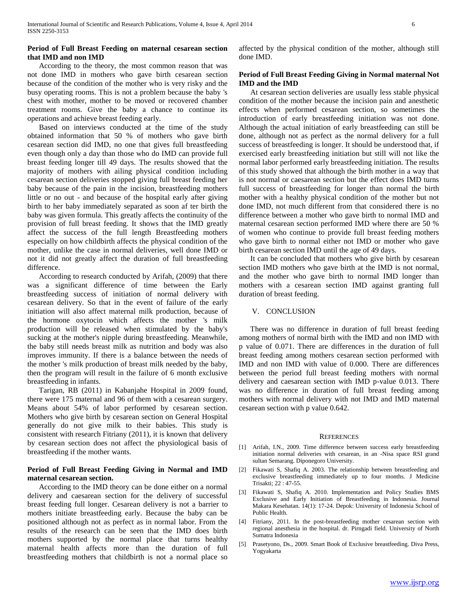## **Period of Full Breast Feeding on maternal cesarean section that IMD and non IMD**

 According to the theory, the most common reason that was not done IMD in mothers who gave birth cesarean section because of the condition of the mother who is very risky and the busy operating rooms. This is not a problem because the baby 's chest with mother, mother to be moved or recovered chamber treatment rooms. Give the baby a chance to continue its operations and achieve breast feeding early.

 Based on interviews conducted at the time of the study obtained information that 50 % of mothers who gave birth cesarean section did IMD, no one that gives full breastfeeding even though only a day than those who do IMD can provide full breast feeding longer till 49 days. The results showed that the majority of mothers with ailing physical condition including cesarean section deliveries stopped giving full breast feeding her baby because of the pain in the incision, breastfeeding mothers little or no out - and because of the hospital early after giving birth to her baby immediately separated as soon af ter birth the baby was given formula. This greatly affects the continuity of the provision of full breast feeding. It shows that the IMD greatly affect the success of the full length Breastfeeding mothers especially on how childbirth affects the physical condition of the mother, unlike the case in normal deliveries, well done IMD or not it did not greatly affect the duration of full breastfeeding difference.

 According to research conducted by Arifah, (2009) that there was a significant difference of time between the Early breastfeeding success of initiation of normal delivery with cesarean delivery. So that in the event of failure of the early initiation will also affect maternal milk production, because of the hormone oxytocin which affects the mother 's milk production will be released when stimulated by the baby's sucking at the mother's nipple during breastfeeding. Meanwhile, the baby still needs breast milk as nutrition and body was also improves immunity. If there is a balance between the needs of the mother 's milk production of breast milk needed by the baby, then the program will result in the failure of 6 month exclusive breastfeeding in infants.

 Tarigan, RB (2011) in Kabanjahe Hospital in 2009 found, there were 175 maternal and 96 of them with a cesarean surgery. Means about 54% of labor performed by cesarean section. Mothers who give birth by cesarean section on General Hospital generally do not give milk to their babies. This study is consistent with research Fitriany (2011), it is known that delivery by cesarean section does not affect the physiological basis of breastfeeding if the mother wants.

# **Period of Full Breast Feeding Giving in Normal and IMD maternal cesarean section.**

 According to the IMD theory can be done either on a normal delivery and caesarean section for the delivery of successful breast feeding full longer. Cesarean delivery is not a barrier to mothers initiate breastfeeding early. Because the baby can be positioned although not as perfect as in normal labor. From the results of the research can be seen that the IMD does birth mothers supported by the normal place that turns healthy maternal health affects more than the duration of full breastfeeding mothers that childbirth is not a normal place so

affected by the physical condition of the mother, although still done IMD.

## **Period of Full Breast Feeding Giving in Normal maternal Not IMD and the IMD**

 At cesarean section deliveries are usually less stable physical condition of the mother because the incision pain and anesthetic effects when performed cesarean section, so sometimes the introduction of early breastfeeding initiation was not done. Although the actual initiation of early breastfeeding can still be done, although not as perfect as the normal delivery for a full success of breastfeeding is longer. It should be understood that, if exercised early breastfeeding initiation but still will not like the normal labor performed early breastfeeding initiation. The results of this study showed that although the birth mother in a way that is not normal or caesarean section but the effect does IMD turns full success of breastfeeding for longer than normal the birth mother with a healthy physical condition of the mother but not done IMD, not much different from that considered there is no difference between a mother who gave birth to normal IMD and maternal cesarean section performed IMD where there are 50 % of women who continue to provide full breast feeding mothers who gave birth to normal either not IMD or mother who gave birth cesarean section IMD until the age of 49 days.

 It can be concluded that mothers who give birth by cesarean section IMD mothers who gave birth at the IMD is not normal, and the mother who gave birth to normal IMD longer than mothers with a cesarean section IMD against granting full duration of breast feeding.

#### V. CONCLUSION

 There was no difference in duration of full breast feeding among mothers of normal birth with the IMD and non IMD with p value of 0.071. There are differences in the duration of full breast feeding among mothers cesarean section performed with IMD and non IMD with value of 0.000. There are differences between the period full breast feeding mothers with normal delivery and caesarean section with IMD p-value 0.013. There was no difference in duration of full breast feeding among mothers with normal delivery with not IMD and IMD maternal cesarean section with p value 0.642.

#### **REFERENCES**

- [1] Arifah, I.N., 2009. Time difference between success early breastfeeding initiation normal deliveries with cesarean, in an -Nisa space RSI grand sultan Semarang. Diponegoro University.
- [2] Fikawati S, Shafiq A. 2003. The relationship between breastfeeding and exclusive breastfeeding immediately up to four months. J Medicine Trisakti; 22 : 47-55.
- [3] Fikawati S, Shafiq A. 2010. Implementation and Policy Studies BMS Exclusive and Early Initiation of Breastfeeding in Indonesia. Journal Makara Kesehatan. 14(1): 17-24. Depok: University of Indonesia School of Public Health.
- [4] Fitriany, 2011. In the post-breastfeeding mother cesarean section with regional anesthesia in the hospital. dr. Pirngadi field. University of North Sumatra Indonesia
- [5] Prasetyono, Ds., 2009. Smart Book of Exclusive breastfeeding. Diva Press, Yogyakarta